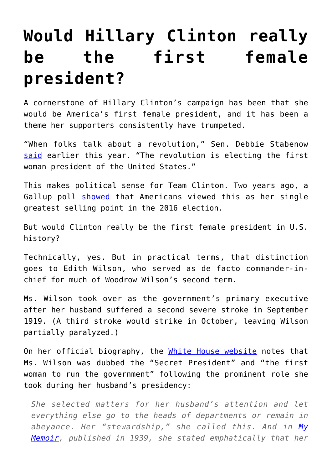## **[Would Hillary Clinton really](https://intellectualtakeout.org/2016/05/would-hillary-clinton-really-be-the-first-female-president/) [be the first female](https://intellectualtakeout.org/2016/05/would-hillary-clinton-really-be-the-first-female-president/) [president?](https://intellectualtakeout.org/2016/05/would-hillary-clinton-really-be-the-first-female-president/)**

A cornerstone of Hillary Clinton's campaign has been that she would be America's first female president, and it has been a theme her supporters consistently have trumpeted.

"When folks talk about a revolution," Sen. Debbie Stabenow [said](http://www.msnbc.com/msnbc/hillary-clinton-whos-excited-about-woman-president) earlier this year. "The revolution is electing the first woman president of the United States."

This makes political sense for Team Clinton. Two years ago, a Gallup poll [showed](http://www.gallup.com/poll/168041/clinton-top-selling-point-2016-first-female-president.aspx) that Americans viewed this as her single greatest selling point in the 2016 election.

But would Clinton really be the first female president in U.S. history?

Technically, yes. But in practical terms, that distinction goes to Edith Wilson, who served as de facto commander-inchief for much of Woodrow Wilson's second term.

Ms. Wilson took over as the government's primary executive after her husband suffered a second severe stroke in September 1919. (A third stroke would strike in October, leaving Wilson partially paralyzed.)

On her official biography, the [White House website](https://www.whitehouse.gov/1600/first-ladies/edithwilson) notes that Ms. Wilson was dubbed the "Secret President" and "the first woman to run the government" following the prominent role she took during her husband's presidency:

*She selected matters for her husband's attention and let everything else go to the heads of departments or remain in abeyance. Her "stewardship," she called this. And in [My](http://amzn.to/1W8mTzM) [Memoir](http://amzn.to/1W8mTzM), published in 1939, she stated emphatically that her*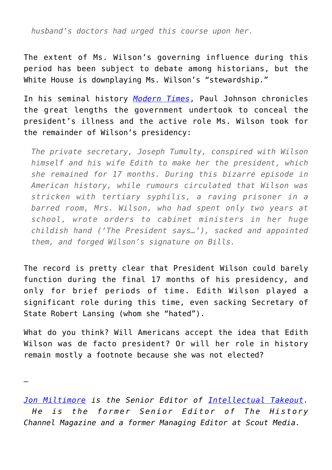*husband's doctors had urged this course upon her.*

The extent of Ms. Wilson's governing influence during this period has been subject to debate among historians, but the White House is downplaying Ms. Wilson's "stewardship."

In his seminal history *[Modern Times](http://amzn.to/26UjOal)*, Paul Johnson chronicles the great lengths the government undertook to conceal the president's illness and the active role Ms. Wilson took for the remainder of Wilson's presidency:

*The private secretary, Joseph Tumulty, conspired with Wilson himself and his wife Edith to make her the president, which she remained for 17 months. During this bizarre episode in American history, while rumours circulated that Wilson was stricken with tertiary syphilis, a raving prisoner in a barred room, Mrs. Wilson, who had spent only two years at school, wrote orders to cabinet ministers in her huge childish hand ('The President says…'), sacked and appointed them, and forged Wilson's signature on Bills.*

The record is pretty clear that President Wilson could barely function during the final 17 months of his presidency, and only for brief periods of time. Edith Wilson played a significant role during this time, even sacking Secretary of State Robert Lansing (whom she "hated").

What do you think? Will Americans accept the idea that Edith Wilson was de facto president? Or will her role in history remain mostly a footnote because she was not elected?

—

*[Jon Miltimore](https://www.facebook.com/jmiltimore/?fref=ts) is the Senior Editor of [Intellectual Takeout.](https://www.intellectualtakeout.org/) He is the former Senior Editor of The History Channel Magazine and a former Managing Editor at Scout Media.*